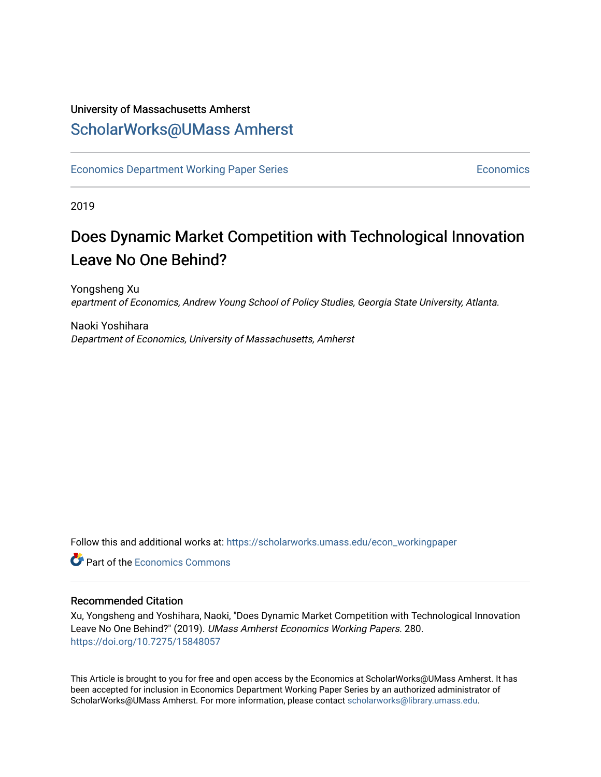# University of Massachusetts Amherst [ScholarWorks@UMass Amherst](https://scholarworks.umass.edu/)

[Economics Department Working Paper Series](https://scholarworks.umass.edu/econ_workingpaper) **Economics** [Economics](https://scholarworks.umass.edu/economics) Economics

2019

# Does Dynamic Market Competition with Technological Innovation Leave No One Behind?

Yongsheng Xu epartment of Economics, Andrew Young School of Policy Studies, Georgia State University, Atlanta.

Naoki Yoshihara Department of Economics, University of Massachusetts, Amherst

Follow this and additional works at: [https://scholarworks.umass.edu/econ\\_workingpaper](https://scholarworks.umass.edu/econ_workingpaper?utm_source=scholarworks.umass.edu%2Fecon_workingpaper%2F280&utm_medium=PDF&utm_campaign=PDFCoverPages) 

**C** Part of the [Economics Commons](http://network.bepress.com/hgg/discipline/340?utm_source=scholarworks.umass.edu%2Fecon_workingpaper%2F280&utm_medium=PDF&utm_campaign=PDFCoverPages)

#### Recommended Citation

Xu, Yongsheng and Yoshihara, Naoki, "Does Dynamic Market Competition with Technological Innovation Leave No One Behind?" (2019). UMass Amherst Economics Working Papers. 280. <https://doi.org/10.7275/15848057>

This Article is brought to you for free and open access by the Economics at ScholarWorks@UMass Amherst. It has been accepted for inclusion in Economics Department Working Paper Series by an authorized administrator of ScholarWorks@UMass Amherst. For more information, please contact [scholarworks@library.umass.edu.](mailto:scholarworks@library.umass.edu)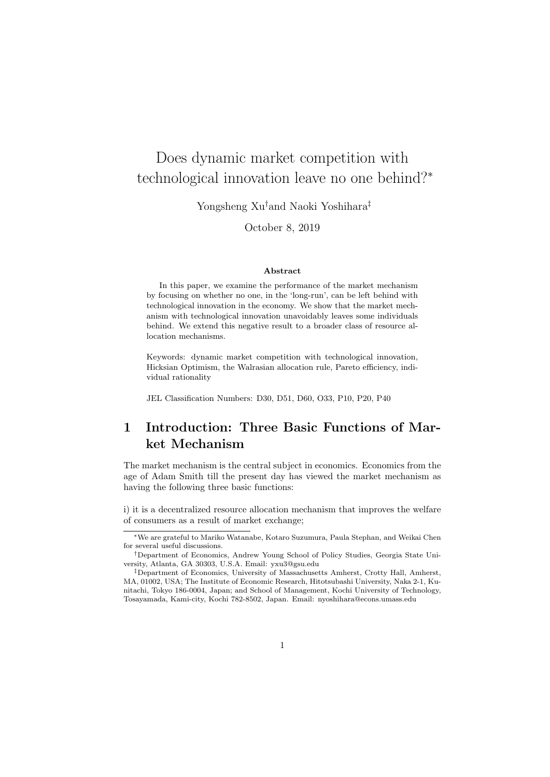# Does dynamic market competition with technological innovation leave no one behind?<sup>∗</sup>

Yongsheng Xu†and Naoki Yoshihara‡

October 8, 2019

#### Abstract

In this paper, we examine the performance of the market mechanism by focusing on whether no one, in the 'long-run', can be left behind with technological innovation in the economy. We show that the market mechanism with technological innovation unavoidably leaves some individuals behind. We extend this negative result to a broader class of resource allocation mechanisms.

Keywords: dynamic market competition with technological innovation, Hicksian Optimism, the Walrasian allocation rule, Pareto efficiency, individual rationality

JEL Classification Numbers: D30, D51, D60, O33, P10, P20, P40

# 1 Introduction: Three Basic Functions of Market Mechanism

The market mechanism is the central subject in economics. Economics from the age of Adam Smith till the present day has viewed the market mechanism as having the following three basic functions:

i) it is a decentralized resource allocation mechanism that improves the welfare of consumers as a result of market exchange;

<sup>∗</sup>We are grateful to Mariko Watanabe, Kotaro Suzumura, Paula Stephan, and Weikai Chen for several useful discussions.

<sup>†</sup>Department of Economics, Andrew Young School of Policy Studies, Georgia State University, Atlanta, GA 30303, U.S.A. Email: yxu3@gsu.edu

<sup>‡</sup>Department of Economics, University of Massachusetts Amherst, Crotty Hall, Amherst, MA, 01002, USA; The Institute of Economic Research, Hitotsubashi University, Naka 2-1, Kunitachi, Tokyo 186-0004, Japan; and School of Management, Kochi University of Technology, Tosayamada, Kami-city, Kochi 782-8502, Japan. Email: nyoshihara@econs.umass.edu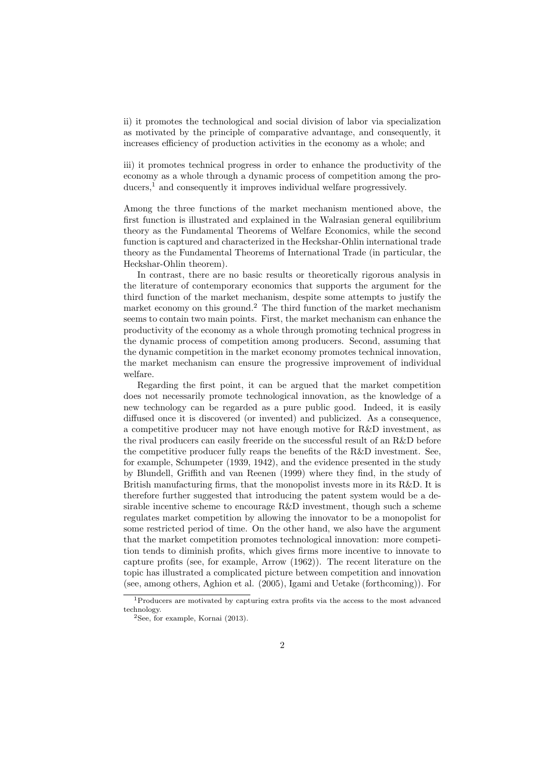ii) it promotes the technological and social division of labor via specialization as motivated by the principle of comparative advantage, and consequently, it increases efficiency of production activities in the economy as a whole; and

iii) it promotes technical progress in order to enhance the productivity of the economy as a whole through a dynamic process of competition among the producers,<sup>1</sup> and consequently it improves individual welfare progressively.

Among the three functions of the market mechanism mentioned above, the first function is illustrated and explained in the Walrasian general equilibrium theory as the Fundamental Theorems of Welfare Economics, while the second function is captured and characterized in the Heckshar-Ohlin international trade theory as the Fundamental Theorems of International Trade (in particular, the Heckshar-Ohlin theorem).

In contrast, there are no basic results or theoretically rigorous analysis in the literature of contemporary economics that supports the argument for the third function of the market mechanism, despite some attempts to justify the market economy on this ground.<sup>2</sup> The third function of the market mechanism seems to contain two main points. First, the market mechanism can enhance the productivity of the economy as a whole through promoting technical progress in the dynamic process of competition among producers. Second, assuming that the dynamic competition in the market economy promotes technical innovation, the market mechanism can ensure the progressive improvement of individual welfare.

Regarding the first point, it can be argued that the market competition does not necessarily promote technological innovation, as the knowledge of a new technology can be regarded as a pure public good. Indeed, it is easily diffused once it is discovered (or invented) and publicized. As a consequence, a competitive producer may not have enough motive for R&D investment, as the rival producers can easily freeride on the successful result of an R&D before the competitive producer fully reaps the benefits of the R&D investment. See, for example, Schumpeter (1939, 1942), and the evidence presented in the study by Blundell, Griffith and van Reenen (1999) where they find, in the study of British manufacturing firms, that the monopolist invests more in its R&D. It is therefore further suggested that introducing the patent system would be a desirable incentive scheme to encourage R&D investment, though such a scheme regulates market competition by allowing the innovator to be a monopolist for some restricted period of time. On the other hand, we also have the argument that the market competition promotes technological innovation: more competition tends to diminish profits, which gives firms more incentive to innovate to capture profits (see, for example, Arrow (1962)). The recent literature on the topic has illustrated a complicated picture between competition and innovation (see, among others, Aghion et al. (2005), Igami and Uetake (forthcoming)). For

<sup>&</sup>lt;sup>1</sup>Producers are motivated by capturing extra profits via the access to the most advanced technology.

 ${}^{2}$ See, for example, Kornai (2013).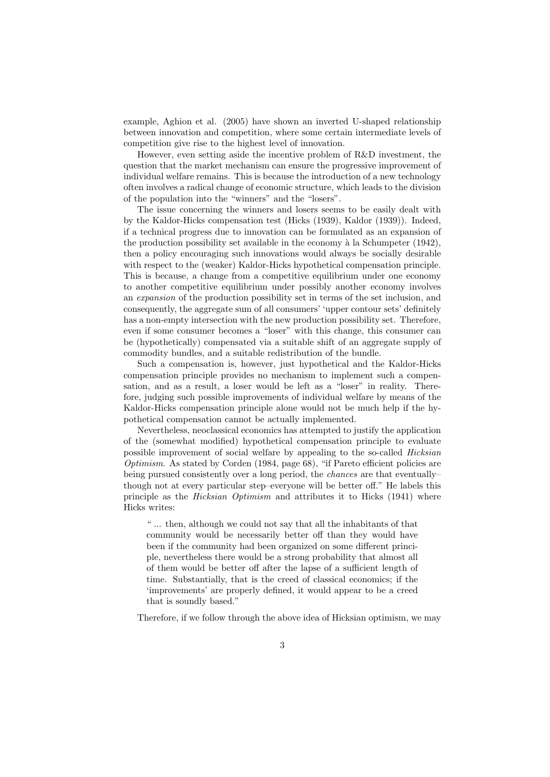example, Aghion et al. (2005) have shown an inverted U-shaped relationship between innovation and competition, where some certain intermediate levels of competition give rise to the highest level of innovation.

However, even setting aside the incentive problem of R&D investment, the question that the market mechanism can ensure the progressive improvement of individual welfare remains. This is because the introduction of a new technology often involves a radical change of economic structure, which leads to the division of the population into the "winners" and the "losers".

The issue concerning the winners and losers seems to be easily dealt with by the Kaldor-Hicks compensation test (Hicks (1939), Kaldor (1939)). Indeed, if a technical progress due to innovation can be formulated as an expansion of the production possibility set available in the economy  $\grave{a}$  la Schumpeter (1942), then a policy encouraging such innovations would always be socially desirable with respect to the (weaker) Kaldor-Hicks hypothetical compensation principle. This is because, a change from a competitive equilibrium under one economy to another competitive equilibrium under possibly another economy involves an expansion of the production possibility set in terms of the set inclusion, and consequently, the aggregate sum of all consumers' 'upper contour sets' definitely has a non-empty intersection with the new production possibility set. Therefore, even if some consumer becomes a "loser" with this change, this consumer can be (hypothetically) compensated via a suitable shift of an aggregate supply of commodity bundles, and a suitable redistribution of the bundle.

Such a compensation is, however, just hypothetical and the Kaldor-Hicks compensation principle provides no mechanism to implement such a compensation, and as a result, a loser would be left as a "loser" in reality. Therefore, judging such possible improvements of individual welfare by means of the Kaldor-Hicks compensation principle alone would not be much help if the hypothetical compensation cannot be actually implemented.

Nevertheless, neoclassical economics has attempted to justify the application of the (somewhat modified) hypothetical compensation principle to evaluate possible improvement of social welfare by appealing to the so-called Hicksian Optimism. As stated by Corden (1984, page 68), "if Pareto efficient policies are being pursued consistently over a long period, the *chances* are that eventually– though not at every particular step–everyone will be better off." He labels this principle as the Hicksian Optimism and attributes it to Hicks (1941) where Hicks writes:

" ... then, although we could not say that all the inhabitants of that community would be necessarily better off than they would have been if the community had been organized on some different principle, nevertheless there would be a strong probability that almost all of them would be better off after the lapse of a sufficient length of time. Substantially, that is the creed of classical economics; if the 'improvements' are properly defined, it would appear to be a creed that is soundly based."

Therefore, if we follow through the above idea of Hicksian optimism, we may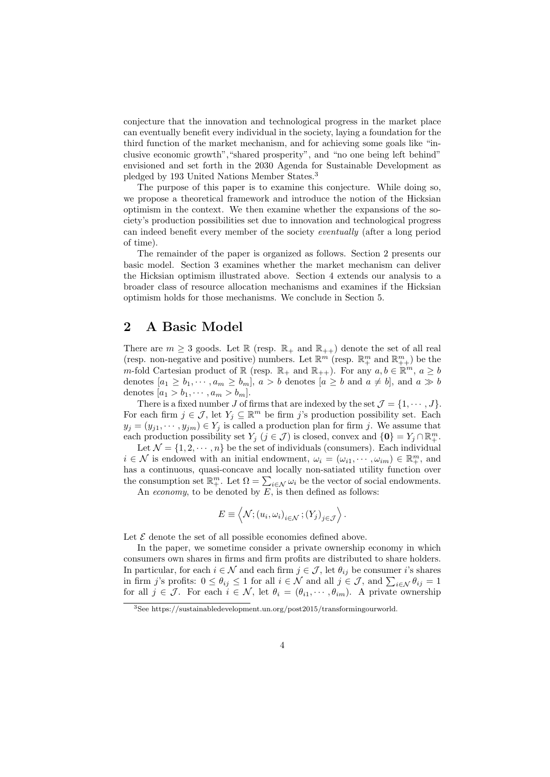conjecture that the innovation and technological progress in the market place can eventually benefit every individual in the society, laying a foundation for the third function of the market mechanism, and for achieving some goals like "inclusive economic growth","shared prosperity", and "no one being left behind" envisioned and set forth in the 2030 Agenda for Sustainable Development as pledged by 193 United Nations Member States.<sup>3</sup>

The purpose of this paper is to examine this conjecture. While doing so, we propose a theoretical framework and introduce the notion of the Hicksian optimism in the context. We then examine whether the expansions of the society's production possibilities set due to innovation and technological progress can indeed benefit every member of the society eventually (after a long period of time).

The remainder of the paper is organized as follows. Section 2 presents our basic model. Section 3 examines whether the market mechanism can deliver the Hicksian optimism illustrated above. Section 4 extends our analysis to a broader class of resource allocation mechanisms and examines if the Hicksian optimism holds for those mechanisms. We conclude in Section 5.

### 2 A Basic Model

There are  $m \geq 3$  goods. Let R (resp.  $\mathbb{R}_+$  and  $\mathbb{R}_{++}$ ) denote the set of all real (resp. non-negative and positive) numbers. Let  $\mathbb{R}^m$  (resp.  $\mathbb{R}^m_+$  and  $\mathbb{R}^m_{++}$ ) be the m-fold Cartesian product of  $\mathbb R$  (resp.  $\mathbb R_+$  and  $\mathbb R_{++}$ ). For any  $a, b \in \mathbb R^m$ ,  $a \ge b$ denotes  $[a_1 \geq b_1, \dots, a_m \geq b_m]$ ,  $a > b$  denotes  $[a \geq b \text{ and } a \neq b]$ , and  $a \gg b$ denotes  $[a_1 > b_1, \cdots, a_m > b_m].$ 

There is a fixed number J of firms that are indexed by the set  $\mathcal{J} = \{1, \cdots, J\}$ . For each firm  $j \in \mathcal{J}$ , let  $Y_j \subseteq \mathbb{R}^m$  be firm j's production possibility set. Each  $y_j = (y_{j1}, \dots, y_{jm}) \in Y_j$  is called a production plan for firm j. We assume that each production possibility set  $Y_j$   $(j \in \mathcal{J})$  is closed, convex and  $\{0\} = Y_j \cap \mathbb{R}^m_+$ .

Let  $\mathcal{N} = \{1, 2, \cdots, n\}$  be the set of individuals (consumers). Each individual  $i \in \mathcal{N}$  is endowed with an initial endowment,  $\omega_i = (\omega_{i1}, \cdots, \omega_{im}) \in \mathbb{R}^m_+$ , and has a continuous, quasi-concave and locally non-satiated utility function over the consumption set  $\mathbb{R}^m_+$ . Let  $\Omega = \sum_{i \in \mathcal{N}} \omega_i$  be the vector of social endowments.

An economy, to be denoted by  $\overline{E}$ , is then defined as follows:

$$
E \equiv \left\langle \mathcal{N}; (u_i, \omega_i)_{i \in \mathcal{N}}; (Y_j)_{j \in \mathcal{J}} \right\rangle.
$$

Let  $\mathcal E$  denote the set of all possible economies defined above.

In the paper, we sometime consider a private ownership economy in which consumers own shares in firms and firm profits are distributed to share holders. In particular, for each  $i \in \mathcal{N}$  and each firm  $j \in \mathcal{J}$ , let  $\theta_{ij}$  be consumer i's shares in firm j's profits:  $0 \le \theta_{ij} \le 1$  for all  $i \in \mathcal{N}$  and all  $j \in \mathcal{J}$ , and  $\sum_{i \in \mathcal{N}} \theta_{ij} = 1$ for all  $j \in \mathcal{J}$ . For each  $i \in \mathcal{N}$ , let  $\theta_i = (\theta_{i1}, \dots, \theta_{im})$ . A private ownership

<sup>3</sup>See https://sustainabledevelopment.un.org/post2015/transformingourworld.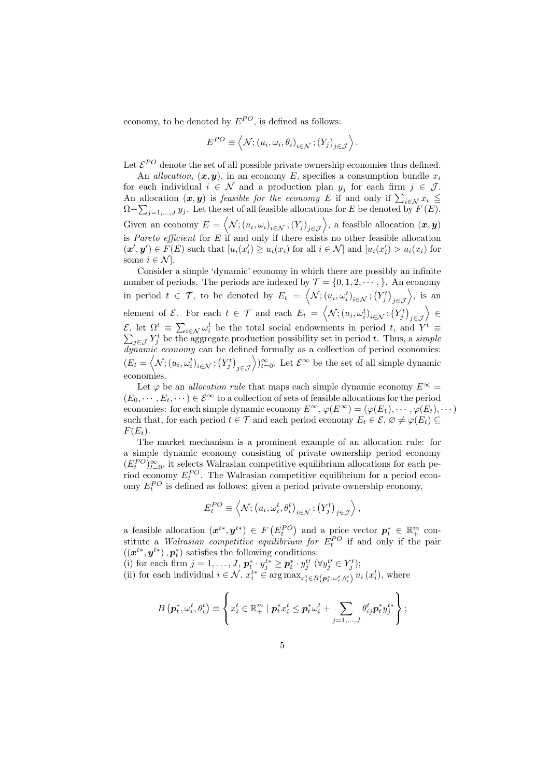economy, to be denoted by  $E^{PO}$ , is defined as follows:

$$
E^{PO} \equiv \left\langle \mathcal{N}; (u_i, \omega_i, \theta_i)_{i \in \mathcal{N}}; (Y_j)_{j \in \mathcal{J}} \right\rangle.
$$

Let  $\mathcal{E}^{PO}$  denote the set of all possible private ownership economies thus defined.

An allocation,  $(x, y)$ , in an economy E, specifies a consumption bundle  $x_i$ for each individual  $i \in \mathcal{N}$  and a production plan  $y_j$  for each firm  $j \in \mathcal{J}$ . An allocation  $(x, y)$  is *feasible for the economy E* if and only if  $\sum_{i \in \mathcal{N}} x_i \leq$  $\Omega + \sum_{j=1,\ldots,J} y_j$ . Let the set of all feasible allocations for E be denoted by  $F(E)$ . Given an economy  $E = \langle \mathcal{N}; (u_i, \omega_i)_{i \in \mathcal{N}}; (Y_j)_{j \in \mathcal{J}} \rangle$ , a feasible allocation  $(x, y)$ is *Pareto efficient* for  $E$  if and only if there exists no other feasible allocation  $(\mathbf{x}', \mathbf{y}') \in F(E)$  such that  $[u_i(x'_i) \ge u_i(x_i)]$  for all  $i \in \mathcal{N}$  and  $[u_i(x'_i) > u_i(x_i)]$  for some  $i \in \mathcal{N}$ .

Consider a simple 'dynamic' economy in which there are possibly an infinite number of periods. The periods are indexed by  $\mathcal{T} = \{0, 1, 2, \dots, \}$ . An economy in period  $t \in \mathcal{T}$ , to be denoted by  $E_t = \left\langle \mathcal{N}; (u_i, \omega_i^t)_{i \in \mathcal{N}}; (Y_j^t)_{j \in \mathcal{J}} \right\rangle$ , is an element of  $\mathcal{E}$ . For each  $t \in \mathcal{T}$  and each  $E_t = \left\langle \mathcal{N}; (u_i, \omega_i^t)_{i \in \mathcal{N}}; (Y_j^t)_{j \in \mathcal{J}} \right\rangle \in$  $\mathcal{E}, \text{ let } \Omega^t \equiv \sum_{i \in \mathcal{N}} \omega_i^t$  be the total social endowments in period t, and Y  $\sum$  $t \equiv$  $j \in \mathcal{J} Y_j^t$  be the aggregate production possibility set in period t. Thus, a simple dynamic economy can be defined formally as a collection of period economies:  $(E_t = \langle \mathcal{N}; (u_i, \omega_i^t)_{i \in \mathcal{N}}; (Y_j^t)_{j \in \mathcal{J}} \rangle)_{t=0}^{\infty}$ . Let  $\mathcal{E}^{\infty}$  be the set of all simple dynamic economies.

Let  $\varphi$  be an *allocation rule* that maps each simple dynamic economy  $E^{\infty}$  =  $(E_0, \dots, E_t, \dots) \in \mathcal{E}^{\infty}$  to a collection of sets of feasible allocations for the period economies: for each simple dynamic economy  $E^{\infty}$ ,  $\varphi(E^{\infty}) = (\varphi(E_1), \cdots, \varphi(E_t), \cdots)$ such that, for each period  $t \in \mathcal{T}$  and each period economy  $E_t \in \mathcal{E}, \varnothing \neq \varphi(E_t) \subseteq$  $F(E_t)$ .

The market mechanism is a prominent example of an allocation rule: for a simple dynamic economy consisting of private ownership period economy  $(E_t^{PO})_{t=0}^{\infty}$ , it selects Walrasian competitive equilibrium allocations for each period economy  $E_t^{PO}$ . The Walrasian competitive equilibrium for a period economy  $E_t^{PO}$  is defined as follows: given a period private ownership economy,

$$
E_t^{PO} \equiv \left\langle \mathcal{N}; \left(u_i, \omega_i^t, \theta_i^t\right)_{i \in \mathcal{N}}; \left(Y_j^t\right)_{j \in \mathcal{J}} \right\rangle,
$$

a feasible allocation  $(x^{t*}, y^{t*}) \in F(E_t^{PO})$  and a price vector  $p_t^* \in \mathbb{R}_+^m$  cona reasible anotation  $(x, y) \in F(x_t)$  and a price vector  $p_t \in \mathbb{R}_+$  constitute a *Walrasian competitive equilibrium for*  $E_t^{PO}$  if and only if the pair  $((x^{t*}, y^{t*}), p_t^*)$  satisfies the following conditions:

(i) for each firm  $j = 1, ..., J$ ,  $p_t^* \cdot y_j^{t*} \geq p_t^* \cdot y_j^{t*}$  ( $\forall y_j^{t'} \in Y_j^{t}$ );

(ii) for each individual  $i \in \mathcal{N}$ ,  $x_i^{t*} \in \arg \max_{x_i^t \in B(p_t^*, \omega_i^t, \theta_i^t)} u_i(x_i^t)$ , where

$$
B\left(\boldsymbol{p}_t^*, \omega_i^t, \theta_i^t\right) \equiv \left\{x_i^t \in \mathbb{R}_+^m \mid \boldsymbol{p}_t^* x_i^t \leq \boldsymbol{p}_t^* \omega_i^t + \sum_{j=1,\dots,J} \theta_{ij}^t \boldsymbol{p}_t^* y_j^{t*}\right\};
$$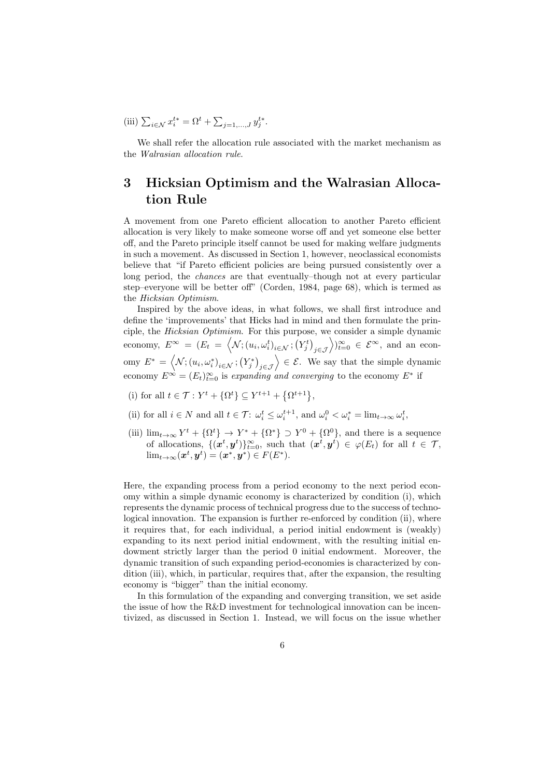(iii) 
$$
\sum_{i \in \mathcal{N}} x_i^{t*} = \Omega^t + \sum_{j=1,...,J} y_j^{t*}
$$
.

We shall refer the allocation rule associated with the market mechanism as the Walrasian allocation rule.

## 3 Hicksian Optimism and the Walrasian Allocation Rule

A movement from one Pareto efficient allocation to another Pareto efficient allocation is very likely to make someone worse off and yet someone else better off, and the Pareto principle itself cannot be used for making welfare judgments in such a movement. As discussed in Section 1, however, neoclassical economists believe that "if Pareto efficient policies are being pursued consistently over a long period, the *chances* are that eventually–though not at every particular step–everyone will be better off" (Corden, 1984, page 68), which is termed as the Hicksian Optimism.

Inspired by the above ideas, in what follows, we shall first introduce and define the 'improvements' that Hicks had in mind and then formulate the principle, the Hicksian Optimism. For this purpose, we consider a simple dynamic economy,  $E^{\infty} = (E_t = \langle \mathcal{N}; (u_i, \omega_i^t)_{i \in \mathcal{N}}; (Y_j^t)_{j \in \mathcal{J}} \rangle_{i=0}^{\infty} \in \mathcal{E}^{\infty}$ , and an economy  $E^* = \langle \mathcal{N}; (u_i, \omega_i^*)_{i \in \mathcal{N}}; (Y_j^*)_{j \in \mathcal{J}} \rangle \in \mathcal{E}$ . We say that the simple dynamic economy  $E^{\infty} = (E_t)_{t=0}^{\infty}$  is expanding and converging to the economy  $E^*$  if

- (i) for all  $t \in \mathcal{T} : Y^t + {\Omega^t} \subseteq Y^{t+1} + {\Omega^{t+1}}$ ,
- (ii) for all  $i \in N$  and all  $t \in \mathcal{T}$ :  $\omega_i^t \leq \omega_i^{t+1}$ , and  $\omega_i^0 < \omega_i^* = \lim_{t \to \infty} \omega_i^t$ ,
- (iii)  $\lim_{t\to\infty} Y^t + {\Omega^t} \to Y^* + {\Omega^*} \supset Y^0 + {\Omega^0}$ , and there is a sequence of allocations,  $\{(\boldsymbol{x}^t, \boldsymbol{y}^t)\}_{t=0}^{\infty}$ , such that  $(\boldsymbol{x}^t, \boldsymbol{y}^t) \in \varphi(E_t)$  for all  $t \in \mathcal{T}$ ,  $\lim_{t\to\infty}(\boldsymbol{x}^t,\boldsymbol{y}^t)=(\boldsymbol{x}^*,\boldsymbol{y}^*)\in F(E^*).$

Here, the expanding process from a period economy to the next period economy within a simple dynamic economy is characterized by condition (i), which represents the dynamic process of technical progress due to the success of technological innovation. The expansion is further re-enforced by condition (ii), where it requires that, for each individual, a period initial endowment is (weakly) expanding to its next period initial endowment, with the resulting initial endowment strictly larger than the period 0 initial endowment. Moreover, the dynamic transition of such expanding period-economies is characterized by condition (iii), which, in particular, requires that, after the expansion, the resulting economy is "bigger" than the initial economy.

In this formulation of the expanding and converging transition, we set aside the issue of how the R&D investment for technological innovation can be incentivized, as discussed in Section 1. Instead, we will focus on the issue whether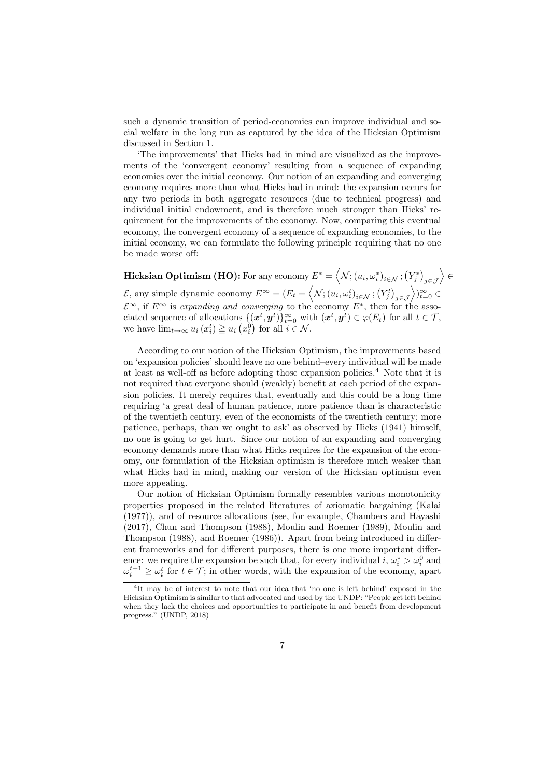such a dynamic transition of period-economies can improve individual and social welfare in the long run as captured by the idea of the Hicksian Optimism discussed in Section 1.

'The improvements' that Hicks had in mind are visualized as the improvements of the 'convergent economy' resulting from a sequence of expanding economies over the initial economy. Our notion of an expanding and converging economy requires more than what Hicks had in mind: the expansion occurs for any two periods in both aggregate resources (due to technical progress) and individual initial endowment, and is therefore much stronger than Hicks' requirement for the improvements of the economy. Now, comparing this eventual economy, the convergent economy of a sequence of expanding economies, to the initial economy, we can formulate the following principle requiring that no one be made worse off:

 ${\bf Hicksian\,Optimism\,(HO)}{:}\text{ For any economy }E^*=\left\langle {\cal N}; \left(u_i,\omega_i^*\right)_{i\in {\cal N}}; \left(Y_j^*\right)_{j\in {\cal J}}\right\rangle \in$  $\mathcal{E}$ , any simple dynamic economy  $E^{\infty} = (E_t = \left\langle \mathcal{N}; (u_i, \omega_i^t)_{i \in \mathcal{N}}; (Y_j^t)_{j \in \mathcal{J}} \right\rangle)_{t=0}^{\infty} \in$  $\mathcal{E}^{\infty}$ , if  $E^{\infty}$  is expanding and converging to the economy  $E^*$ , then for the associated sequence of allocations  $\{(\boldsymbol{x}^t, \boldsymbol{y}^t)\}_{t=0}^{\infty}$  with  $(\boldsymbol{x}^t, \boldsymbol{y}^t) \in \varphi(E_t)$  for all  $t \in \mathcal{T}$ , we have  $\lim_{t\to\infty} u_i(x_i^t) \geq u_i(x_i^0)$  for all  $i \in \mathcal{N}$ .

According to our notion of the Hicksian Optimism, the improvements based on 'expansion policies' should leave no one behind–every individual will be made at least as well-off as before adopting those expansion policies.<sup>4</sup> Note that it is not required that everyone should (weakly) benefit at each period of the expansion policies. It merely requires that, eventually and this could be a long time requiring 'a great deal of human patience, more patience than is characteristic of the twentieth century, even of the economists of the twentieth century; more patience, perhaps, than we ought to ask' as observed by Hicks (1941) himself, no one is going to get hurt. Since our notion of an expanding and converging economy demands more than what Hicks requires for the expansion of the economy, our formulation of the Hicksian optimism is therefore much weaker than what Hicks had in mind, making our version of the Hicksian optimism even more appealing.

Our notion of Hicksian Optimism formally resembles various monotonicity properties proposed in the related literatures of axiomatic bargaining (Kalai (1977)), and of resource allocations (see, for example, Chambers and Hayashi (2017), Chun and Thompson (1988), Moulin and Roemer (1989), Moulin and Thompson (1988), and Roemer (1986)). Apart from being introduced in different frameworks and for different purposes, there is one more important difference: we require the expansion be such that, for every individual  $i, \omega_i^* > \omega_i^0$  and  $\omega_i^{t+1} \geq \omega_i^t$  for  $t \in \mathcal{T}$ ; in other words, with the expansion of the economy, apart

<sup>4</sup> It may be of interest to note that our idea that 'no one is left behind' exposed in the Hicksian Optimism is similar to that advocated and used by the UNDP: "People get left behind when they lack the choices and opportunities to participate in and benefit from development progress." (UNDP, 2018)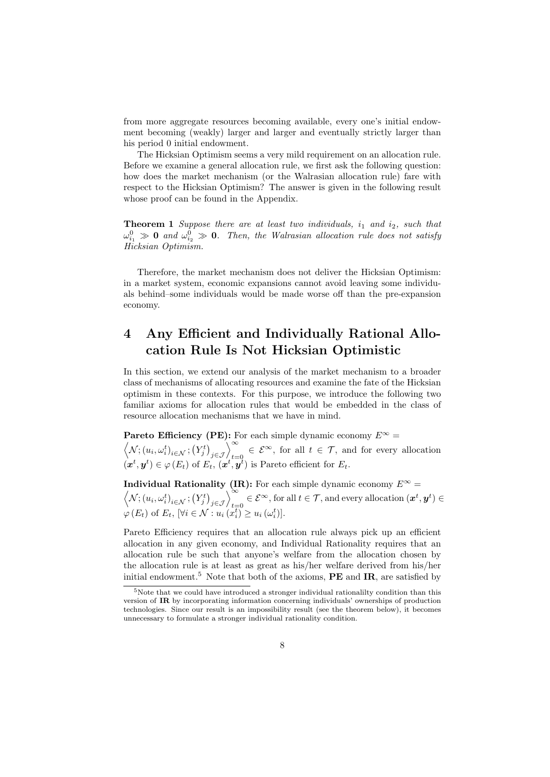from more aggregate resources becoming available, every one's initial endowment becoming (weakly) larger and larger and eventually strictly larger than his period 0 initial endowment.

The Hicksian Optimism seems a very mild requirement on an allocation rule. Before we examine a general allocation rule, we first ask the following question: how does the market mechanism (or the Walrasian allocation rule) fare with respect to the Hicksian Optimism? The answer is given in the following result whose proof can be found in the Appendix.

**Theorem 1** Suppose there are at least two individuals,  $i_1$  and  $i_2$ , such that  $\omega_{i_1}^0 \gg \mathbf{0}$  and  $\omega_{i_2}^0 \gg \mathbf{0}$ . Then, the Walrasian allocation rule does not satisfy Hicksian Optimism.

Therefore, the market mechanism does not deliver the Hicksian Optimism: in a market system, economic expansions cannot avoid leaving some individuals behind–some individuals would be made worse off than the pre-expansion economy.

# 4 Any Efficient and Individually Rational Allocation Rule Is Not Hicksian Optimistic

In this section, we extend our analysis of the market mechanism to a broader class of mechanisms of allocating resources and examine the fate of the Hicksian optimism in these contexts. For this purpose, we introduce the following two familiar axioms for allocation rules that would be embedded in the class of resource allocation mechanisms that we have in mind.

**Pareto Efficiency (PE):** For each simple dynamic economy  $E^{\infty}$  =  $\left\langle \mathcal{N}; (u_i, \omega_i^t)_{i \in \mathcal{N}}; (Y_j^t)_{j \in \mathcal{J}} \right\rangle_{t=0}^{\infty} \in \mathcal{E}^{\infty}$ , for all  $t \in \mathcal{T}$ , and for every allocation  $(\boldsymbol{x}^t, \boldsymbol{y}^t) \in \varphi(E_t)$  of  $E_t$ ,  $(\boldsymbol{x}^t, \boldsymbol{y}^t)$  is Pareto efficient for  $E_t$ .

**Individual Rationality (IR):** For each simple dynamic economy  $E^{\infty}$  =  $\left\langle \mathcal{N}; (u_i, \omega_i^t)_{i \in \mathcal{N}}; (Y_j^t)_{j \in \mathcal{J}} \right\rangle_{t=0}^{\infty} \in \mathcal{E}^{\infty}$ , for all  $t \in \mathcal{T}$ , and every allocation  $(\boldsymbol{x}^t, \boldsymbol{y}^t) \in$  $\varphi(E_t)$  of  $E_t$ ,  $[\forall i \in \mathcal{N} : u_i(x_i^t)] \geq u_i(\omega_i^t)].$ 

Pareto Efficiency requires that an allocation rule always pick up an efficient allocation in any given economy, and Individual Rationality requires that an allocation rule be such that anyone's welfare from the allocation chosen by the allocation rule is at least as great as his/her welfare derived from his/her initial endowment.<sup>5</sup> Note that both of the axioms,  $\bf{PE}$  and  $\bf{IR}$ , are satisfied by

<sup>5</sup>Note that we could have introduced a stronger individual rationalilty condition than this version of IR by incorporating information concerning individuals' ownerships of production technologies. Since our result is an impossibility result (see the theorem below), it becomes unnecessary to formulate a stronger individual rationality condition.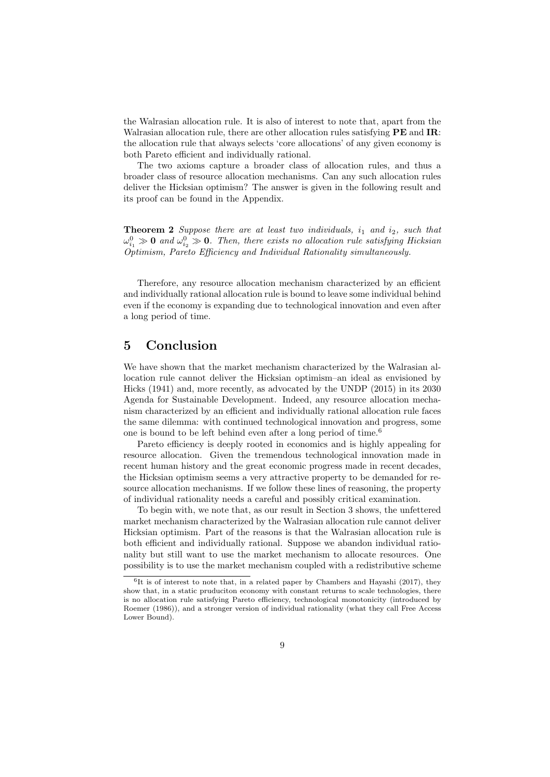the Walrasian allocation rule. It is also of interest to note that, apart from the Walrasian allocation rule, there are other allocation rules satisfying **PE** and **IR**: the allocation rule that always selects 'core allocations' of any given economy is both Pareto efficient and individually rational.

The two axioms capture a broader class of allocation rules, and thus a broader class of resource allocation mechanisms. Can any such allocation rules deliver the Hicksian optimism? The answer is given in the following result and its proof can be found in the Appendix.

**Theorem 2** Suppose there are at least two individuals,  $i_1$  and  $i_2$ , such that  $\omega_{i_1}^0 \gg \mathbf{0}$  and  $\omega_{i_2}^0 \gg \mathbf{0}$ . Then, there exists no allocation rule satisfying Hicksian Optimism, Pareto Efficiency and Individual Rationality simultaneously.

Therefore, any resource allocation mechanism characterized by an efficient and individually rational allocation rule is bound to leave some individual behind even if the economy is expanding due to technological innovation and even after a long period of time.

#### 5 Conclusion

We have shown that the market mechanism characterized by the Walrasian allocation rule cannot deliver the Hicksian optimism–an ideal as envisioned by Hicks (1941) and, more recently, as advocated by the UNDP (2015) in its 2030 Agenda for Sustainable Development. Indeed, any resource allocation mechanism characterized by an efficient and individually rational allocation rule faces the same dilemma: with continued technological innovation and progress, some one is bound to be left behind even after a long period of time.<sup>6</sup>

Pareto efficiency is deeply rooted in economics and is highly appealing for resource allocation. Given the tremendous technological innovation made in recent human history and the great economic progress made in recent decades, the Hicksian optimism seems a very attractive property to be demanded for resource allocation mechanisms. If we follow these lines of reasoning, the property of individual rationality needs a careful and possibly critical examination.

To begin with, we note that, as our result in Section 3 shows, the unfettered market mechanism characterized by the Walrasian allocation rule cannot deliver Hicksian optimism. Part of the reasons is that the Walrasian allocation rule is both efficient and individually rational. Suppose we abandon individual rationality but still want to use the market mechanism to allocate resources. One possibility is to use the market mechanism coupled with a redistributive scheme

<sup>6</sup> It is of interest to note that, in a related paper by Chambers and Hayashi (2017), they show that, in a static pruduciton economy with constant returns to scale technologies, there is no allocation rule satisfying Pareto efficiency, technological monotonicity (introduced by Roemer (1986)), and a stronger version of individual rationality (what they call Free Access Lower Bound).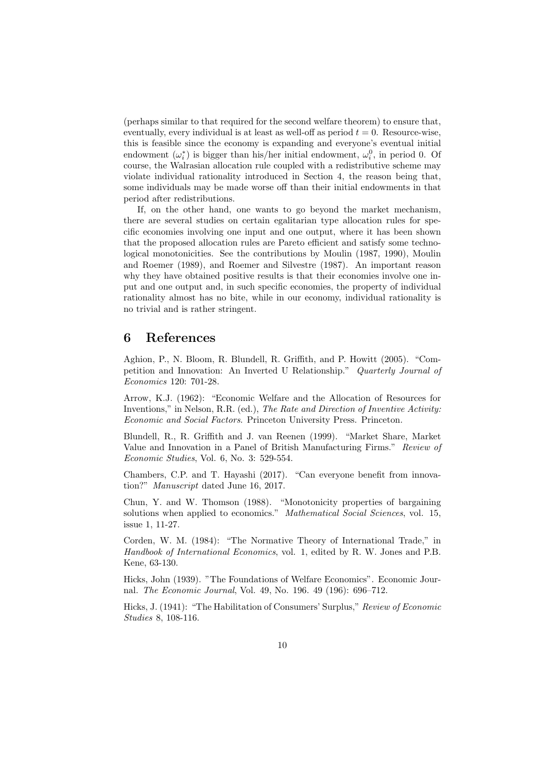(perhaps similar to that required for the second welfare theorem) to ensure that, eventually, every individual is at least as well-off as period  $t = 0$ . Resource-wise, this is feasible since the economy is expanding and everyone's eventual initial endowment  $(\omega_i^*)$  is bigger than his/her initial endowment,  $\omega_i^0$ , in period 0. Of course, the Walrasian allocation rule coupled with a redistributive scheme may violate individual rationality introduced in Section 4, the reason being that, some individuals may be made worse off than their initial endowments in that period after redistributions.

If, on the other hand, one wants to go beyond the market mechanism, there are several studies on certain egalitarian type allocation rules for specific economies involving one input and one output, where it has been shown that the proposed allocation rules are Pareto efficient and satisfy some technological monotonicities. See the contributions by Moulin (1987, 1990), Moulin and Roemer (1989), and Roemer and Silvestre (1987). An important reason why they have obtained positive results is that their economies involve one input and one output and, in such specific economies, the property of individual rationality almost has no bite, while in our economy, individual rationality is no trivial and is rather stringent.

### 6 References

Aghion, P., N. Bloom, R. Blundell, R. Griffith, and P. Howitt (2005). "Competition and Innovation: An Inverted U Relationship." Quarterly Journal of Economics 120: 701-28.

Arrow, K.J. (1962): "Economic Welfare and the Allocation of Resources for Inventions," in Nelson, R.R. (ed.), The Rate and Direction of Inventive Activity: Economic and Social Factors. Princeton University Press. Princeton.

Blundell, R., R. Griffith and J. van Reenen (1999). "Market Share, Market Value and Innovation in a Panel of British Manufacturing Firms." Review of Economic Studies, Vol. 6, No. 3: 529-554.

Chambers, C.P. and T. Hayashi (2017). "Can everyone benefit from innovation?" Manuscript dated June 16, 2017.

Chun, Y. and W. Thomson (1988). "Monotonicity properties of bargaining solutions when applied to economics." Mathematical Social Sciences, vol. 15, issue 1, 11-27.

Corden, W. M. (1984): "The Normative Theory of International Trade," in Handbook of International Economics, vol. 1, edited by R. W. Jones and P.B. Kene, 63-130.

Hicks, John (1939). "The Foundations of Welfare Economics". Economic Journal. The Economic Journal, Vol. 49, No. 196. 49 (196): 696–712.

Hicks, J. (1941): "The Habilitation of Consumers' Surplus," Review of Economic Studies 8, 108-116.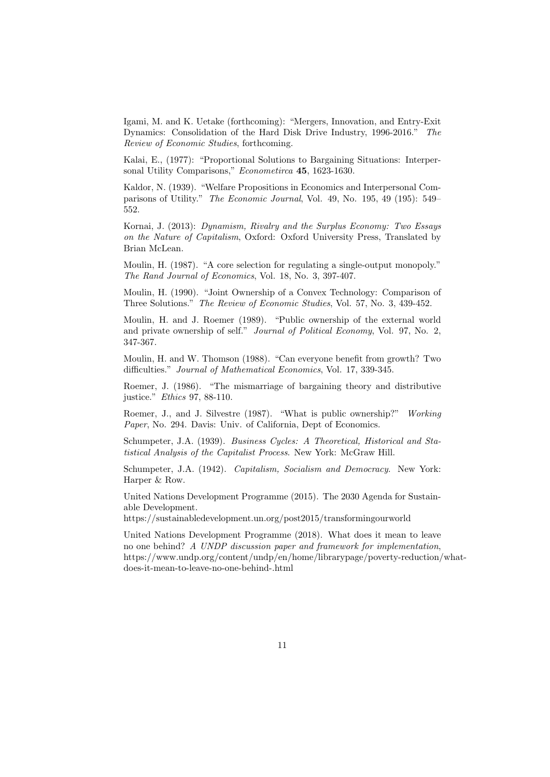Igami, M. and K. Uetake (forthcoming): "Mergers, Innovation, and Entry-Exit Dynamics: Consolidation of the Hard Disk Drive Industry, 1996-2016." The Review of Economic Studies, forthcoming.

Kalai, E., (1977): "Proportional Solutions to Bargaining Situations: Interpersonal Utility Comparisons," Econometirca 45, 1623-1630.

Kaldor, N. (1939). "Welfare Propositions in Economics and Interpersonal Comparisons of Utility." The Economic Journal, Vol. 49, No. 195, 49 (195): 549– 552.

Kornai, J. (2013): Dynamism, Rivalry and the Surplus Economy: Two Essays on the Nature of Capitalism, Oxford: Oxford University Press, Translated by Brian McLean.

Moulin, H. (1987). "A core selection for regulating a single-output monopoly." The Rand Journal of Economics, Vol. 18, No. 3, 397-407.

Moulin, H. (1990). "Joint Ownership of a Convex Technology: Comparison of Three Solutions." The Review of Economic Studies, Vol. 57, No. 3, 439-452.

Moulin, H. and J. Roemer (1989). "Public ownership of the external world and private ownership of self." Journal of Political Economy, Vol. 97, No. 2, 347-367.

Moulin, H. and W. Thomson (1988). "Can everyone benefit from growth? Two difficulties." Journal of Mathematical Economics, Vol. 17, 339-345.

Roemer, J. (1986). "The mismarriage of bargaining theory and distributive justice." Ethics 97, 88-110.

Roemer, J., and J. Silvestre (1987). "What is public ownership?" Working Paper, No. 294. Davis: Univ. of California, Dept of Economics.

Schumpeter, J.A. (1939). Business Cycles: A Theoretical, Historical and Statistical Analysis of the Capitalist Process. New York: McGraw Hill.

Schumpeter, J.A. (1942). Capitalism, Socialism and Democracy. New York: Harper & Row.

United Nations Development Programme (2015). The 2030 Agenda for Sustainable Development.

https://sustainabledevelopment.un.org/post2015/transformingourworld

United Nations Development Programme (2018). What does it mean to leave no one behind? A UNDP discussion paper and framework for implementation, https://www.undp.org/content/undp/en/home/librarypage/poverty-reduction/whatdoes-it-mean-to-leave-no-one-behind-.html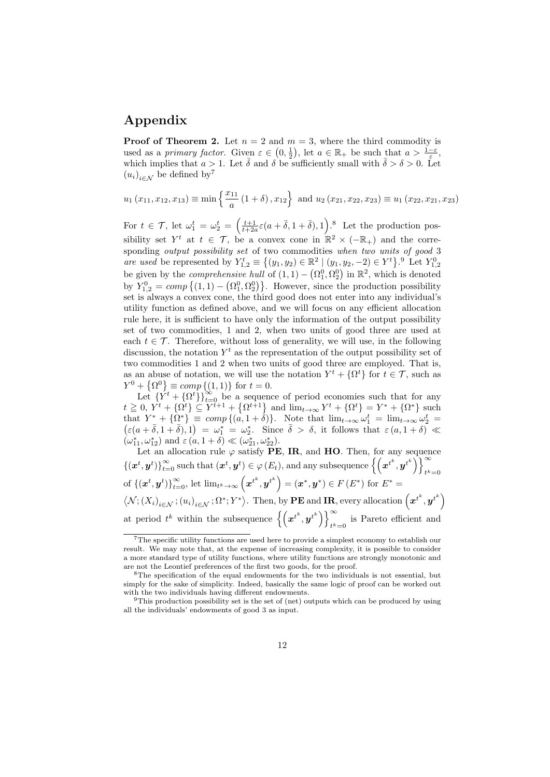### Appendix

**Proof of Theorem 2.** Let  $n = 2$  and  $m = 3$ , where the third commodity is used as a primary factor. Given  $\varepsilon \in (0, \frac{1}{2})$ , let  $a \in \mathbb{R}_+$  be such that  $a > \frac{1-\varepsilon}{\varepsilon}$ , which implies that  $a > 1$ . Let  $\overline{\delta}$  and  $\delta$  be sufficiently small with  $\overline{\delta} > \delta > 0$ . Let  $(u_i)_{i \in \mathcal{N}}$  be defined by<sup>7</sup>

$$
u_1(x_{11}, x_{12}, x_{13}) \equiv \min\left\{\frac{x_{11}}{a}(1+\delta), x_{12}\right\}
$$
 and  $u_2(x_{21}, x_{22}, x_{23}) \equiv u_1(x_{22}, x_{21}, x_{23})$ 

For  $t \in \mathcal{T}$ , let  $\omega_1^t = \omega_2^t = \left(\frac{t+1}{t+2a}\varepsilon(a+\overline{\delta},1+\overline{\delta}),1\right)$ .<sup>8</sup> Let the production possibility set  $Y^t$  at  $t \in \mathcal{T}$ , be a convex cone in  $\mathbb{R}^2 \times (-\mathbb{R}_+)$  and the corresponding *output possibility set* of two commodities when two units of good 3 are used be represented by  $Y_{1,2}^t \equiv \{(y_1, y_2) \in \mathbb{R}^2 \mid (y_1, y_2, -2) \in Y^t\}$ . Let  $Y_{1,2}^0$ be given by the *comprehensive hull* of  $(1, 1) - (\Omega_1^0, \Omega_2^0)$  in  $\mathbb{R}^2$ , which is denoted by  $Y_{1,2}^0 = comp\{(1,1) - (\Omega_1^0, \Omega_2^0)\}\.$  However, since the production possibility set is always a convex cone, the third good does not enter into any individual's utility function as defined above, and we will focus on any efficient allocation rule here, it is sufficient to have only the information of the output possibility set of two commodities, 1 and 2, when two units of good three are used at each  $t \in \mathcal{T}$ . Therefore, without loss of generality, we will use, in the following discussion, the notation  $Y<sup>t</sup>$  as the representation of the output possibility set of two commodities 1 and 2 when two units of good three are employed. That is, as an abuse of notation, we will use the notation  $Y^t + {\Omega^t}$  for  $t \in \mathcal{T}$ , such as  $Y^0 + \{\Omega^0\} \equiv \text{comp} \{(1, 1)\}$  for  $t = 0$ .

Let  ${Y<sup>t</sup> + {\Omega<sup>t</sup>}\}_{t=0}^{\infty}$  be a sequence of period economies such that for any  $t \geq 0$ ,  $Y^t + {\Omega^t} \subseteq \widetilde{Y}^{t+1} + {\Omega^{t+1}}$  and  $\lim_{t \to \infty} Y^t + {\Omega^t} = Y^* + {\Omega^*}$  such that  $Y^* - {\Omega^*} \equiv \text{comp} \{ (a, 1 + \delta) \}.$  Note that  $\lim_{t \to \infty} \omega_1^t = \lim_{t \to \infty} \omega_2^t$ that  $Y^* + {\Omega^*} \equiv \text{comp} \{ (a, 1 + \delta) \}.$  Note that  $\lim_{t \to \infty} \omega_1^t = \lim_{t \to \infty} \omega_2^t =$ <br> $(\varepsilon(a + \overline{\delta}, 1 + \overline{\delta}), 1) = \omega_1^* = \omega_2^*$ . Since  $\overline{\delta} > \delta$ , it follows that  $\varepsilon(a, 1 + \delta) \ll$  $(\omega_{11}^*, \omega_{12}^*)$  and  $\varepsilon(a, 1+\delta) \ll (\omega_{21}^*, \omega_{22}^*)$ .

Let an allocation rule  $\varphi$  satisfy PE, IR, and HO. Then, for any sequence  $\{(x^t, y^t)\}_{t=0}^{\infty}$  such that  $(x^t, y^t) \in \varphi(E_t)$ , and any subsequence  $\left\{\left(x^{t^k}, y^{t^k}\right)\right\}_{t=0}^{\infty}$  $t^k=0$ of  $\{(\boldsymbol{x}^t, \boldsymbol{y}^t)\}_{t=0}^{\infty}$ , let  $\lim_{t^k \to \infty} (\boldsymbol{x}^{t^k}, {\boldsymbol{y}^{t^k}}) = (\boldsymbol{x}^*, \boldsymbol{y}^*) \in F\left(E^*\right)$  for  $E^* =$  $\langle \mathcal{N}; (X_i)_{i \in \mathcal{N}}; (u_i)_{i \in \mathcal{N}}; \Omega^*; Y^* \rangle$ . Then, by **PE** and **IR**, every allocation  $(\boldsymbol{x}^{t^k}, \boldsymbol{y}^{t^k})$ at period  $t^k$  within the subsequence  $\left\{ \left( x^{t^k}, y^{t^k} \right) \right\}^{\infty}$  $t^{k}=0$  is Pareto efficient and

<sup>7</sup>The specific utility functions are used here to provide a simplest economy to establish our result. We may note that, at the expense of increasing complexity, it is possible to consider a more standard type of utility functions, where utility functions are strongly monotonic and are not the Leontief preferences of the first two goods, for the proof.

<sup>&</sup>lt;sup>8</sup>The specification of the equal endowments for the two individuals is not essential, but simply for the sake of simplicity. Indeed, basically the same logic of proof can be worked out with the two individuals having different endowments.

<sup>&</sup>lt;sup>9</sup>This production possibility set is the set of (net) outputs which can be produced by using all the individuals' endowments of good 3 as input.